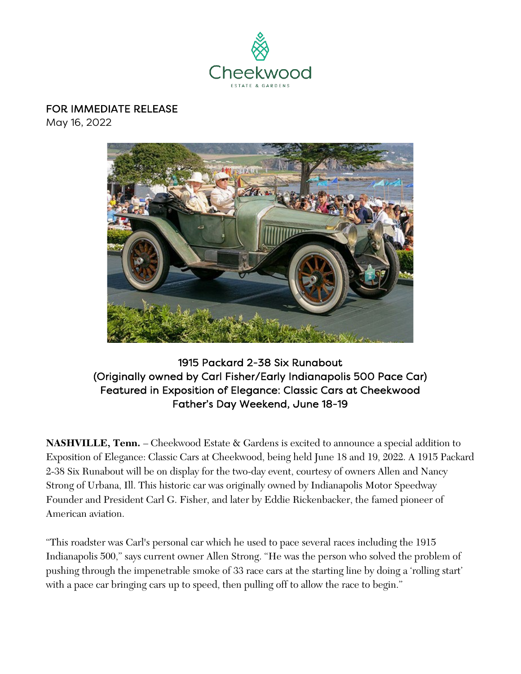

### FOR IMMEDIATE RELEASE

May 16, 2022



1915 Packard 2-38 Six Runabout (Originally owned by Carl Fisher/Early Indianapolis 500 Pace Car) Featured in Exposition of Elegance: Classic Cars at Cheekwood Father's Day Weekend, June 18-19

**NASHVILLE, Tenn.** – Cheekwood Estate & Gardens is excited to announce a special addition to Exposition of Elegance: Classic Cars at Cheekwood, being held June 18 and 19, 2022. A 1915 Packard 2-38 Six Runabout will be on display for the two-day event, courtesy of owners Allen and Nancy Strong of Urbana, Ill. This historic car was originally owned by Indianapolis Motor Speedway Founder and President Carl G. Fisher, and later by Eddie Rickenbacker, the famed pioneer of American aviation.

"This roadster was Carl's personal car which he used to pace several races including the 1915 Indianapolis 500," says current owner Allen Strong. "He was the person who solved the problem of pushing through the impenetrable smoke of 33 race cars at the starting line by doing a 'rolling start' with a pace car bringing cars up to speed, then pulling off to allow the race to begin."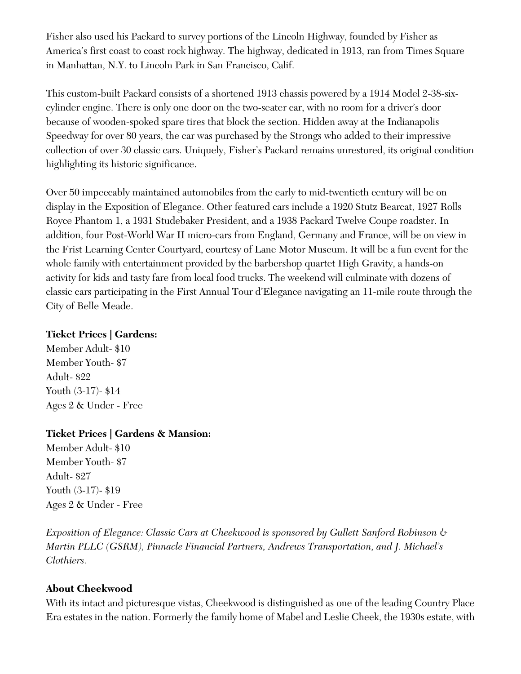Fisher also used his Packard to survey portions of the Lincoln Highway, founded by Fisher as America's first coast to coast rock highway. The highway, dedicated in 1913, ran from Times Square in Manhattan, N.Y. to Lincoln Park in San Francisco, Calif.

This custom-built Packard consists of a shortened 1913 chassis powered by a 1914 Model 2-38-sixcylinder engine. There is only one door on the two-seater car, with no room for a driver's door because of wooden-spoked spare tires that block the section. Hidden away at the Indianapolis Speedway for over 80 years, the car was purchased by the Strongs who added to their impressive collection of over 30 classic cars. Uniquely, Fisher's Packard remains unrestored, its original condition highlighting its historic significance.

Over 50 impeccably maintained automobiles from the early to mid-twentieth century will be on display in the Exposition of Elegance. Other featured cars include a 1920 Stutz Bearcat, 1927 Rolls Royce Phantom 1, a 1931 Studebaker President, and a 1938 Packard Twelve Coupe roadster. In addition, four Post-World War II micro-cars from England, Germany and France, will be on view in the Frist Learning Center Courtyard, courtesy of Lane Motor Museum. It will be a fun event for the whole family with entertainment provided by the barbershop quartet High Gravity, a hands-on activity for kids and tasty fare from local food trucks. The weekend will culminate with dozens of classic cars participating in the First Annual Tour d'Elegance navigating an 11-mile route through the City of Belle Meade.

#### **Ticket Prices | Gardens:**

Member Adult- \$10 Member Youth- \$7 Adult- \$22 Youth (3-17)- \$14 Ages 2 & Under - Free

### **Ticket Prices | Gardens & Mansion:**

Member Adult- \$10 Member Youth- \$7 Adult- \$27 Youth (3-17)- \$19 Ages 2 & Under - Free

*Exposition of Elegance: Classic Cars at Cheekwood is sponsored by Gullett Sanford Robinson & Martin PLLC (GSRM), Pinnacle Financial Partners, Andrews Transportation, and J. Michael's Clothiers.*

### **About Cheekwood**

With its intact and picturesque vistas, Cheekwood is distinguished as one of the leading Country Place Era estates in the nation. Formerly the family home of Mabel and Leslie Cheek, the 1930s estate, with